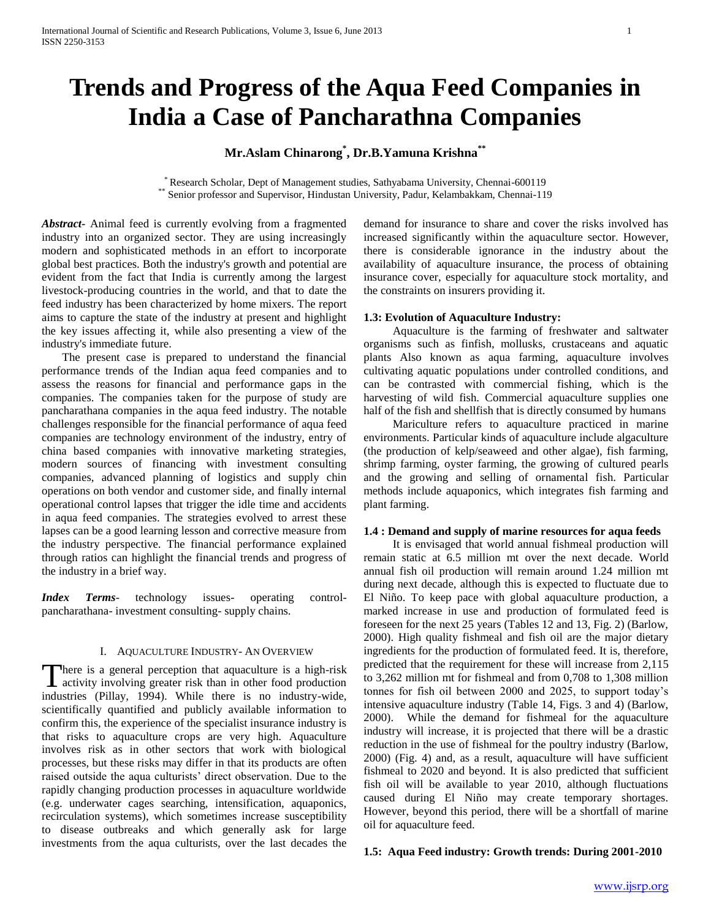# **Trends and Progress of the Aqua Feed Companies in India a Case of Pancharathna Companies**

# **Mr.Aslam Chinarong\* , Dr.B.Yamuna Krishna\*\***

\* Research Scholar, Dept of Management studies, Sathyabama University, Chennai-600119 \*\* Senior professor and Supervisor, Hindustan University, Padur, Kelambakkam, Chennai-119

*Abstract***-** Animal feed is currently evolving from a fragmented industry into an organized sector. They are using increasingly modern and sophisticated methods in an effort to incorporate global best practices. Both the industry's growth and potential are evident from the fact that India is currently among the largest livestock-producing countries in the world, and that to date the feed industry has been characterized by home mixers. The report aims to capture the state of the industry at present and highlight the key issues affecting it, while also presenting a view of the industry's immediate future.

 The present case is prepared to understand the financial performance trends of the Indian aqua feed companies and to assess the reasons for financial and performance gaps in the companies. The companies taken for the purpose of study are pancharathana companies in the aqua feed industry. The notable challenges responsible for the financial performance of aqua feed companies are technology environment of the industry, entry of china based companies with innovative marketing strategies, modern sources of financing with investment consulting companies, advanced planning of logistics and supply chin operations on both vendor and customer side, and finally internal operational control lapses that trigger the idle time and accidents in aqua feed companies. The strategies evolved to arrest these lapses can be a good learning lesson and corrective measure from the industry perspective. The financial performance explained through ratios can highlight the financial trends and progress of the industry in a brief way.

*Index Terms*- technology issues- operating controlpancharathana- investment consulting- supply chains.

# I. AQUACULTURE INDUSTRY- AN OVERVIEW

here is a general perception that aquaculture is a high-risk activity involving greater risk than in other food production There is a general perception that aquaculture is a high-risk activity involving greater risk than in other food production industries (Pillay, 1994). While there is no industry-wide, scientifically quantified and publicly available information to confirm this, the experience of the specialist insurance industry is that risks to aquaculture crops are very high. Aquaculture involves risk as in other sectors that work with biological processes, but these risks may differ in that its products are often raised outside the aqua culturists' direct observation. Due to the rapidly changing production processes in aquaculture worldwide (e.g. underwater cages searching, intensification, aquaponics, recirculation systems), which sometimes increase susceptibility to disease outbreaks and which generally ask for large investments from the aqua culturists, over the last decades the

demand for insurance to share and cover the risks involved has increased significantly within the aquaculture sector. However, there is considerable ignorance in the industry about the availability of aquaculture insurance, the process of obtaining insurance cover, especially for aquaculture stock mortality, and the constraints on insurers providing it.

# **1.3: Evolution of Aquaculture Industry:**

 Aquaculture is the farming of freshwater and saltwater organisms such as finfish, mollusks, crustaceans and aquatic plants Also known as aqua farming, aquaculture involves cultivating aquatic populations under controlled conditions, and can be contrasted with commercial fishing, which is the harvesting of wild fish. Commercial aquaculture supplies one half of the fish and shellfish that is directly consumed by humans

 Mariculture refers to aquaculture practiced in marine environments. Particular kinds of aquaculture include algaculture (the production of kelp/seaweed and other algae), fish farming, shrimp farming, oyster farming, the growing of cultured pearls and the growing and selling of ornamental fish. Particular methods include aquaponics, which integrates fish farming and plant farming.

#### **1.4 : Demand and supply of marine resources for aqua feeds**

 It is envisaged that world annual fishmeal production will remain static at 6.5 million mt over the next decade. World annual fish oil production will remain around 1.24 million mt during next decade, although this is expected to fluctuate due to El Niño. To keep pace with global aquaculture production, a marked increase in use and production of formulated feed is foreseen for the next 25 years (Tables 12 and 13, Fig. 2) (Barlow, 2000). High quality fishmeal and fish oil are the major dietary ingredients for the production of formulated feed. It is, therefore, predicted that the requirement for these will increase from 2,115 to 3,262 million mt for fishmeal and from 0,708 to 1,308 million tonnes for fish oil between 2000 and 2025, to support today's intensive aquaculture industry (Table 14, Figs. 3 and 4) (Barlow, 2000). While the demand for fishmeal for the aquaculture industry will increase, it is projected that there will be a drastic reduction in the use of fishmeal for the poultry industry (Barlow, 2000) (Fig. 4) and, as a result, aquaculture will have sufficient fishmeal to 2020 and beyond. It is also predicted that sufficient fish oil will be available to year 2010, although fluctuations caused during El Niño may create temporary shortages. However, beyond this period, there will be a shortfall of marine oil for aquaculture feed.

# **1.5: Aqua Feed industry: Growth trends: During 2001-2010**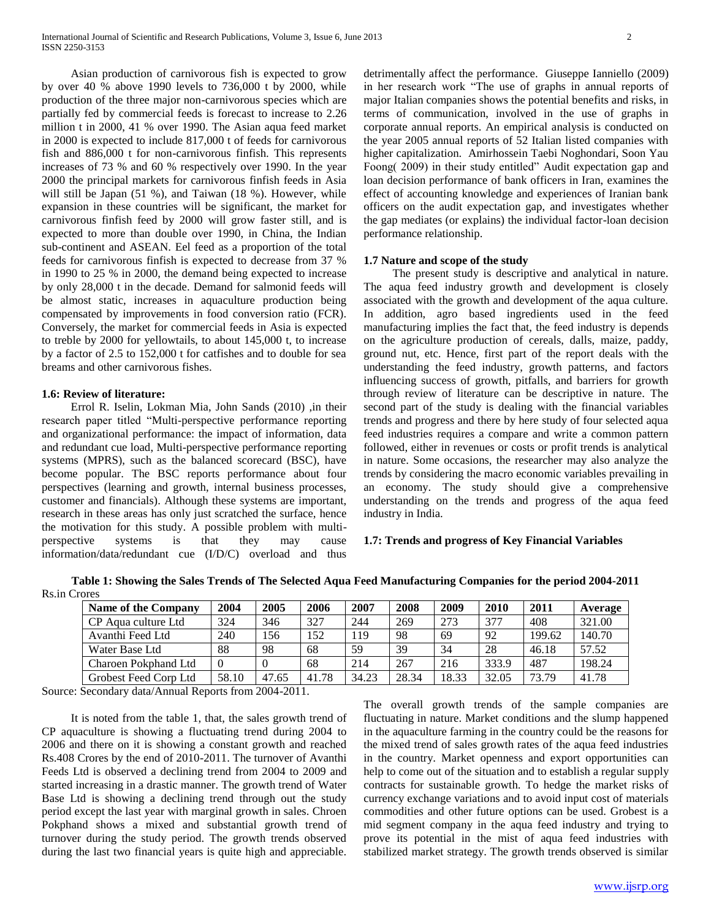Asian production of carnivorous fish is expected to grow by over 40 % above 1990 levels to 736,000 t by 2000, while production of the three major non-carnivorous species which are partially fed by commercial feeds is forecast to increase to 2.26 million t in 2000, 41 % over 1990. The Asian aqua feed market in 2000 is expected to include 817,000 t of feeds for carnivorous fish and 886,000 t for non-carnivorous finfish. This represents increases of 73 % and 60 % respectively over 1990. In the year 2000 the principal markets for carnivorous finfish feeds in Asia will still be Japan (51 %), and Taiwan (18 %). However, while expansion in these countries will be significant, the market for carnivorous finfish feed by 2000 will grow faster still, and is expected to more than double over 1990, in China, the Indian sub-continent and ASEAN. Eel feed as a proportion of the total feeds for carnivorous finfish is expected to decrease from 37 % in 1990 to 25 % in 2000, the demand being expected to increase by only 28,000 t in the decade. Demand for salmonid feeds will be almost static, increases in aquaculture production being compensated by improvements in food conversion ratio (FCR). Conversely, the market for commercial feeds in Asia is expected to treble by 2000 for yellowtails, to about 145,000 t, to increase by a factor of 2.5 to 152,000 t for catfishes and to double for sea breams and other carnivorous fishes.

#### **1.6: Review of literature:**

 Errol R. Iselin, Lokman Mia, John Sands (2010) ,in their research paper titled "Multi-perspective performance reporting and organizational performance: the impact of information, data and redundant cue load, Multi-perspective performance reporting systems (MPRS), such as the balanced scorecard (BSC), have become popular. The BSC reports performance about four perspectives (learning and growth, internal business processes, customer and financials). Although these systems are important, research in these areas has only just scratched the surface, hence the motivation for this study. A possible problem with multiperspective systems is that they may cause information/data/redundant cue (I/D/C) overload and thus

detrimentally affect the performance. Giuseppe Ianniello (2009) in her research work "The use of graphs in annual reports of major Italian companies shows the potential benefits and risks, in terms of communication, involved in the use of graphs in corporate annual reports. An empirical analysis is conducted on the year 2005 annual reports of 52 Italian listed companies with higher capitalization. Amirhossein Taebi Noghondari, Soon Yau Foong( 2009) in their study entitled" Audit expectation gap and loan decision performance of bank officers in Iran, examines the effect of accounting knowledge and experiences of Iranian bank officers on the audit expectation gap, and investigates whether the gap mediates (or explains) the individual factor-loan decision performance relationship.

# **1.7 Nature and scope of the study**

 The present study is descriptive and analytical in nature. The aqua feed industry growth and development is closely associated with the growth and development of the aqua culture. In addition, agro based ingredients used in the feed manufacturing implies the fact that, the feed industry is depends on the agriculture production of cereals, dalls, maize, paddy, ground nut, etc. Hence, first part of the report deals with the understanding the feed industry, growth patterns, and factors influencing success of growth, pitfalls, and barriers for growth through review of literature can be descriptive in nature. The second part of the study is dealing with the financial variables trends and progress and there by here study of four selected aqua feed industries requires a compare and write a common pattern followed, either in revenues or costs or profit trends is analytical in nature. Some occasions, the researcher may also analyze the trends by considering the macro economic variables prevailing in an economy. The study should give a comprehensive understanding on the trends and progress of the aqua feed industry in India.

# **1.7: Trends and progress of Key Financial Variables**

**Table 1: Showing the Sales Trends of The Selected Aqua Feed Manufacturing Companies for the period 2004-2011** Rs.in Crores

| <b>Name of the Company</b> | 2004  | 2005  | 2006  | 2007  | 2008  | 2009  | 2010  | 2011   | Average |
|----------------------------|-------|-------|-------|-------|-------|-------|-------|--------|---------|
| CP Agua culture Ltd        | 324   | 346   | 327   | 244   | 269   | 273   | 377   | 408    | 321.00  |
| Avanthi Feed Ltd           | 240   | 156   | 152   | 119   | 98    | 69    | 92    | 199.62 | 140.70  |
| Water Base Ltd             | 88    | 98    | 68    | 59    | 39    | 34    | 28    | 46.18  | 57.52   |
| Charoen Pokphand Ltd       |       |       | 68    | 214   | 267   | 216   | 333.9 | 487    | 198.24  |
| Grobest Feed Corp Ltd      | 58.10 | 47.65 | 41.78 | 34.23 | 28.34 | 18.33 | 32.05 | 73.79  | 41.78   |

Source: Secondary data/Annual Reports from 2004-2011.

 It is noted from the table 1, that, the sales growth trend of CP aquaculture is showing a fluctuating trend during 2004 to 2006 and there on it is showing a constant growth and reached Rs.408 Crores by the end of 2010-2011. The turnover of Avanthi Feeds Ltd is observed a declining trend from 2004 to 2009 and started increasing in a drastic manner. The growth trend of Water Base Ltd is showing a declining trend through out the study period except the last year with marginal growth in sales. Chroen Pokphand shows a mixed and substantial growth trend of turnover during the study period. The growth trends observed during the last two financial years is quite high and appreciable.

The overall growth trends of the sample companies are fluctuating in nature. Market conditions and the slump happened in the aquaculture farming in the country could be the reasons for the mixed trend of sales growth rates of the aqua feed industries in the country. Market openness and export opportunities can help to come out of the situation and to establish a regular supply contracts for sustainable growth. To hedge the market risks of currency exchange variations and to avoid input cost of materials commodities and other future options can be used. Grobest is a mid segment company in the aqua feed industry and trying to prove its potential in the mist of aqua feed industries with stabilized market strategy. The growth trends observed is similar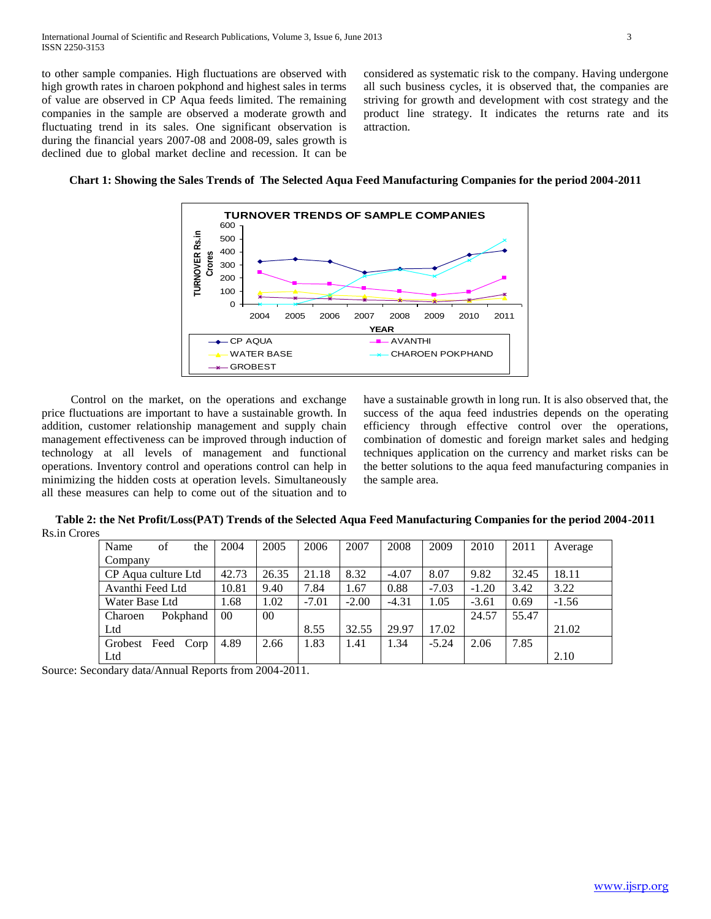to other sample companies. High fluctuations are observed with high growth rates in charoen pokphond and highest sales in terms of value are observed in CP Aqua feeds limited. The remaining companies in the sample are observed a moderate growth and fluctuating trend in its sales. One significant observation is during the financial years 2007-08 and 2008-09, sales growth is declined due to global market decline and recession. It can be considered as systematic risk to the company. Having undergone all such business cycles, it is observed that, the companies are striving for growth and development with cost strategy and the product line strategy. It indicates the returns rate and its attraction.





 Control on the market, on the operations and exchange price fluctuations are important to have a sustainable growth. In addition, customer relationship management and supply chain management effectiveness can be improved through induction of technology at all levels of management and functional operations. Inventory control and operations control can help in minimizing the hidden costs at operation levels. Simultaneously all these measures can help to come out of the situation and to have a sustainable growth in long run. It is also observed that, the success of the aqua feed industries depends on the operating efficiency through effective control over the operations, combination of domestic and foreign market sales and hedging techniques application on the currency and market risks can be the better solutions to the aqua feed manufacturing companies in the sample area.

**Table 2: the Net Profit/Loss(PAT) Trends of the Selected Aqua Feed Manufacturing Companies for the period 2004-2011** Rs.in Crores

| of<br>Name<br>the       | 2004           | 2005   | 2006    | 2007    | 2008    | 2009    | 2010    | 2011  | Average |
|-------------------------|----------------|--------|---------|---------|---------|---------|---------|-------|---------|
| Company                 |                |        |         |         |         |         |         |       |         |
| CP Agua culture Ltd     | 42.73          | 26.35  | 21.18   | 8.32    | $-4.07$ | 8.07    | 9.82    | 32.45 | 18.11   |
| Avanthi Feed Ltd        | 10.81          | 9.40   | 7.84    | 1.67    | 0.88    | $-7.03$ | $-1.20$ | 3.42  | 3.22    |
| Water Base Ltd          | .68            | 1.02   | $-7.01$ | $-2.00$ | $-4.31$ | 1.05    | $-3.61$ | 0.69  | $-1.56$ |
| Pokphand<br>Charoen     | 0 <sup>0</sup> | $00\,$ |         |         |         |         | 24.57   | 55.47 |         |
| Ltd                     |                |        | 8.55    | 32.55   | 29.97   | 17.02   |         |       | 21.02   |
| Feed<br>Grobest<br>Corp | 4.89           | 2.66   | 1.83    | 1.41    | 1.34    | $-5.24$ | 2.06    | 7.85  |         |
| Ltd                     |                |        |         |         |         |         |         |       | 2.10    |

Source: Secondary data/Annual Reports from 2004-2011.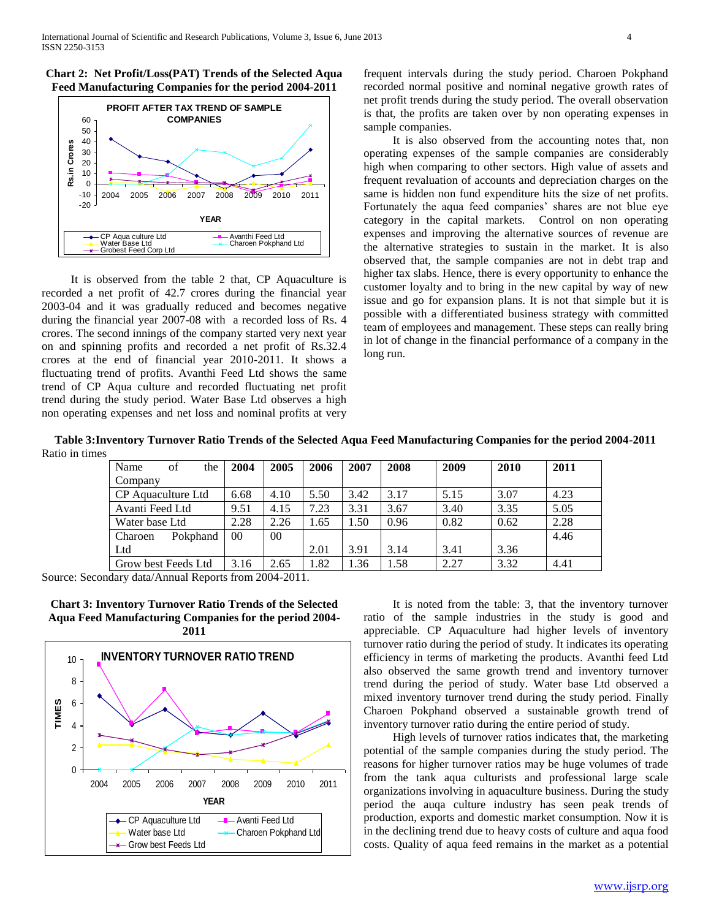



 It is observed from the table 2 that, CP Aquaculture is recorded a net profit of 42.7 crores during the financial year 2003-04 and it was gradually reduced and becomes negative during the financial year 2007-08 with a recorded loss of Rs. 4 crores. The second innings of the company started very next year on and spinning profits and recorded a net profit of Rs.32.4 crores at the end of financial year 2010-2011. It shows a fluctuating trend of profits. Avanthi Feed Ltd shows the same trend of CP Aqua culture and recorded fluctuating net profit trend during the study period. Water Base Ltd observes a high non operating expenses and net loss and nominal profits at very frequent intervals during the study period. Charoen Pokphand recorded normal positive and nominal negative growth rates of net profit trends during the study period. The overall observation is that, the profits are taken over by non operating expenses in sample companies.

 It is also observed from the accounting notes that, non operating expenses of the sample companies are considerably high when comparing to other sectors. High value of assets and frequent revaluation of accounts and depreciation charges on the same is hidden non fund expenditure hits the size of net profits. Fortunately the aqua feed companies' shares are not blue eye category in the capital markets. Control on non operating expenses and improving the alternative sources of revenue are the alternative strategies to sustain in the market. It is also observed that, the sample companies are not in debt trap and higher tax slabs. Hence, there is every opportunity to enhance the customer loyalty and to bring in the new capital by way of new issue and go for expansion plans. It is not that simple but it is possible with a differentiated business strategy with committed team of employees and management. These steps can really bring in lot of change in the financial performance of a company in the long run.

**Table 3:Inventory Turnover Ratio Trends of the Selected Aqua Feed Manufacturing Companies for the period 2004-2011** Ratio in times

| Name<br>of<br>the   | 2004            | 2005 | 2006 | 2007 | 2008 | 2009 | 2010 | 2011 |
|---------------------|-----------------|------|------|------|------|------|------|------|
| Company             |                 |      |      |      |      |      |      |      |
| CP Aquaculture Ltd  | 6.68            | 4.10 | 5.50 | 3.42 | 3.17 | 5.15 | 3.07 | 4.23 |
| Avanti Feed Ltd     | 9.51            | 4.15 | 7.23 | 3.31 | 3.67 | 3.40 | 3.35 | 5.05 |
| Water base Ltd      | 2.28            | 2.26 | 1.65 | 1.50 | 0.96 | 0.82 | 0.62 | 2.28 |
| Pokphand<br>Charoen | 00 <sup>1</sup> | 00   |      |      |      |      |      | 4.46 |
| Ltd                 |                 |      | 2.01 | 3.91 | 3.14 | 3.41 | 3.36 |      |
| Grow best Feeds Ltd | 3.16            | 2.65 | 1.82 | .36  | 1.58 | 2.27 | 3.32 | 4.41 |

Source: Secondary data/Annual Reports from 2004-2011.

**Chart 3: Inventory Turnover Ratio Trends of the Selected Aqua Feed Manufacturing Companies for the period 2004- 2011**



 It is noted from the table: 3, that the inventory turnover ratio of the sample industries in the study is good and appreciable. CP Aquaculture had higher levels of inventory turnover ratio during the period of study. It indicates its operating efficiency in terms of marketing the products. Avanthi feed Ltd also observed the same growth trend and inventory turnover trend during the period of study. Water base Ltd observed a mixed inventory turnover trend during the study period. Finally Charoen Pokphand observed a sustainable growth trend of inventory turnover ratio during the entire period of study.

 High levels of turnover ratios indicates that, the marketing potential of the sample companies during the study period. The reasons for higher turnover ratios may be huge volumes of trade from the tank aqua culturists and professional large scale organizations involving in aquaculture business. During the study period the auqa culture industry has seen peak trends of production, exports and domestic market consumption. Now it is in the declining trend due to heavy costs of culture and aqua food costs. Quality of aqua feed remains in the market as a potential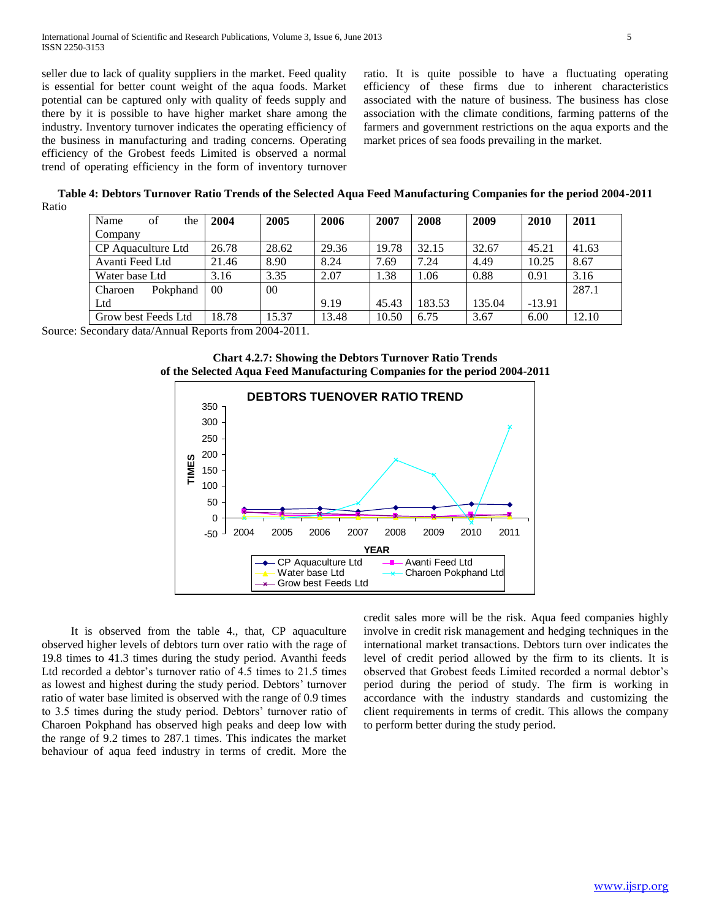seller due to lack of quality suppliers in the market. Feed quality is essential for better count weight of the aqua foods. Market potential can be captured only with quality of feeds supply and there by it is possible to have higher market share among the industry. Inventory turnover indicates the operating efficiency of the business in manufacturing and trading concerns. Operating efficiency of the Grobest feeds Limited is observed a normal trend of operating efficiency in the form of inventory turnover

ratio. It is quite possible to have a fluctuating operating efficiency of these firms due to inherent characteristics associated with the nature of business. The business has close association with the climate conditions, farming patterns of the farmers and government restrictions on the aqua exports and the market prices of sea foods prevailing in the market.

**Table 4: Debtors Turnover Ratio Trends of the Selected Aqua Feed Manufacturing Companies for the period 2004-2011** Ratio

| of<br>Name<br>the   | 2004            | 2005   | 2006  | 2007  | 2008   | 2009   | 2010     | 2011  |
|---------------------|-----------------|--------|-------|-------|--------|--------|----------|-------|
| Company             |                 |        |       |       |        |        |          |       |
| CP Aquaculture Ltd  | 26.78           | 28.62  | 29.36 | 19.78 | 32.15  | 32.67  | 45.21    | 41.63 |
| Avanti Feed Ltd     | 21.46           | 8.90   | 8.24  | 7.69  | 7.24   | 4.49   | 10.25    | 8.67  |
| Water base Ltd      | 3.16            | 3.35   | 2.07  | 1.38  | 1.06   | 0.88   | 0.91     | 3.16  |
| Pokphand<br>Charoen | 00 <sup>2</sup> | $00\,$ |       |       |        |        |          | 287.1 |
| Ltd                 |                 |        | 9.19  | 45.43 | 183.53 | 135.04 | $-13.91$ |       |
| Grow best Feeds Ltd | 18.78           | 15.37  | 13.48 | 10.50 | 6.75   | 3.67   | 6.00     | 12.10 |

Source: Secondary data/Annual Reports from 2004-2011.





 It is observed from the table 4., that, CP aquaculture observed higher levels of debtors turn over ratio with the rage of 19.8 times to 41.3 times during the study period. Avanthi feeds Ltd recorded a debtor's turnover ratio of 4.5 times to 21.5 times as lowest and highest during the study period. Debtors' turnover ratio of water base limited is observed with the range of 0.9 times to 3.5 times during the study period. Debtors' turnover ratio of Charoen Pokphand has observed high peaks and deep low with the range of 9.2 times to 287.1 times. This indicates the market behaviour of aqua feed industry in terms of credit. More the

credit sales more will be the risk. Aqua feed companies highly involve in credit risk management and hedging techniques in the international market transactions. Debtors turn over indicates the level of credit period allowed by the firm to its clients. It is observed that Grobest feeds Limited recorded a normal debtor's period during the period of study. The firm is working in accordance with the industry standards and customizing the client requirements in terms of credit. This allows the company to perform better during the study period.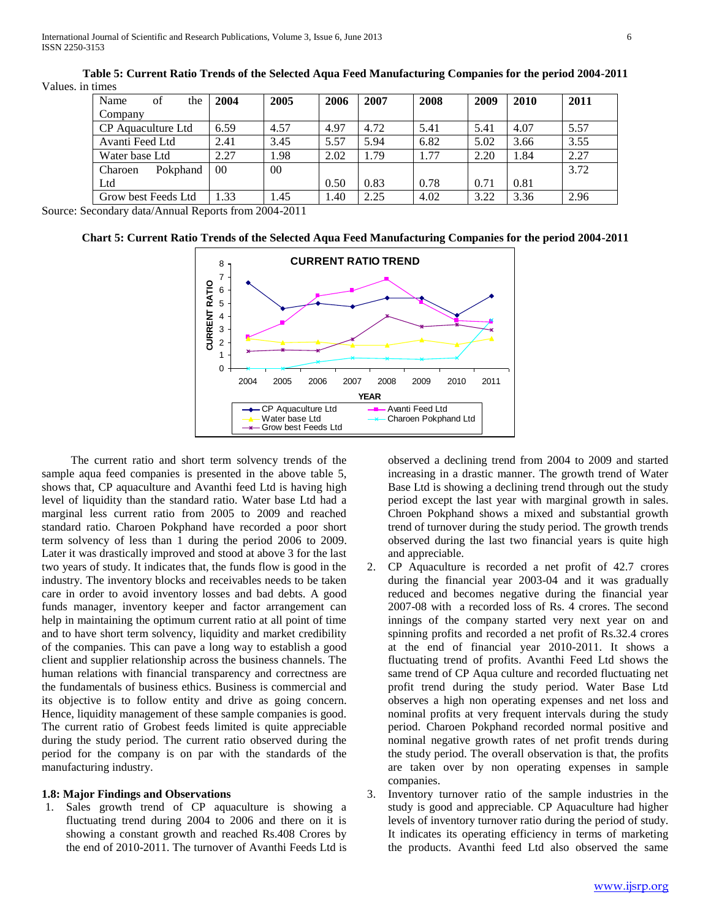| Name<br>of<br>the                         | 2004           | 2005      | 2006 | 2007 | 2008 | 2009 | 2010 | 2011 |
|-------------------------------------------|----------------|-----------|------|------|------|------|------|------|
| Company                                   |                |           |      |      |      |      |      |      |
| CP Aquaculture Ltd                        | 6.59           | 4.57      | 4.97 | 4.72 | 5.41 | 5.41 | 4.07 | 5.57 |
| Avanti Feed Ltd                           | 2.41           | 3.45      | 5.57 | 5.94 | 6.82 | 5.02 | 3.66 | 3.55 |
| Water base Ltd                            | 2.27           | 1.98      | 2.02 | 1.79 | 1.77 | 2.20 | 1.84 | 2.27 |
| Pokphand<br>Charoen                       | 0 <sup>0</sup> | $00\,$    |      |      |      |      |      | 3.72 |
| Ltd                                       |                |           | 0.50 | 0.83 | 0.78 | 0.71 | 0.81 |      |
| Grow best Feeds Ltd                       | 1.33           | 1.45      | 1.40 | 2.25 | 4.02 | 3.22 | 3.36 | 2.96 |
| $\frac{1}{1}$ $\frac{1}{1}$ $\frac{1}{1}$ | $\sim$ $\sim$  | 0.0010011 |      |      |      |      |      |      |

**Table 5: Current Ratio Trends of the Selected Aqua Feed Manufacturing Companies for the period 2004-2011** Values. in times

Source: Secondary data/Annual Reports from 2004-2011

**Chart 5: Current Ratio Trends of the Selected Aqua Feed Manufacturing Companies for the period 2004-2011**



 The current ratio and short term solvency trends of the sample aqua feed companies is presented in the above table 5, shows that, CP aquaculture and Avanthi feed Ltd is having high level of liquidity than the standard ratio. Water base Ltd had a marginal less current ratio from 2005 to 2009 and reached standard ratio. Charoen Pokphand have recorded a poor short term solvency of less than 1 during the period 2006 to 2009. Later it was drastically improved and stood at above 3 for the last two years of study. It indicates that, the funds flow is good in the industry. The inventory blocks and receivables needs to be taken care in order to avoid inventory losses and bad debts. A good funds manager, inventory keeper and factor arrangement can help in maintaining the optimum current ratio at all point of time and to have short term solvency, liquidity and market credibility of the companies. This can pave a long way to establish a good client and supplier relationship across the business channels. The human relations with financial transparency and correctness are the fundamentals of business ethics. Business is commercial and its objective is to follow entity and drive as going concern. Hence, liquidity management of these sample companies is good. The current ratio of Grobest feeds limited is quite appreciable during the study period. The current ratio observed during the period for the company is on par with the standards of the manufacturing industry.

#### **1.8: Major Findings and Observations**

1. Sales growth trend of CP aquaculture is showing a fluctuating trend during 2004 to 2006 and there on it is showing a constant growth and reached Rs.408 Crores by the end of 2010-2011. The turnover of Avanthi Feeds Ltd is

observed a declining trend from 2004 to 2009 and started increasing in a drastic manner. The growth trend of Water Base Ltd is showing a declining trend through out the study period except the last year with marginal growth in sales. Chroen Pokphand shows a mixed and substantial growth trend of turnover during the study period. The growth trends observed during the last two financial years is quite high and appreciable.

- 2. CP Aquaculture is recorded a net profit of 42.7 crores during the financial year 2003-04 and it was gradually reduced and becomes negative during the financial year 2007-08 with a recorded loss of Rs. 4 crores. The second innings of the company started very next year on and spinning profits and recorded a net profit of Rs.32.4 crores at the end of financial year 2010-2011. It shows a fluctuating trend of profits. Avanthi Feed Ltd shows the same trend of CP Aqua culture and recorded fluctuating net profit trend during the study period. Water Base Ltd observes a high non operating expenses and net loss and nominal profits at very frequent intervals during the study period. Charoen Pokphand recorded normal positive and nominal negative growth rates of net profit trends during the study period. The overall observation is that, the profits are taken over by non operating expenses in sample companies.
- 3. Inventory turnover ratio of the sample industries in the study is good and appreciable. CP Aquaculture had higher levels of inventory turnover ratio during the period of study. It indicates its operating efficiency in terms of marketing the products. Avanthi feed Ltd also observed the same